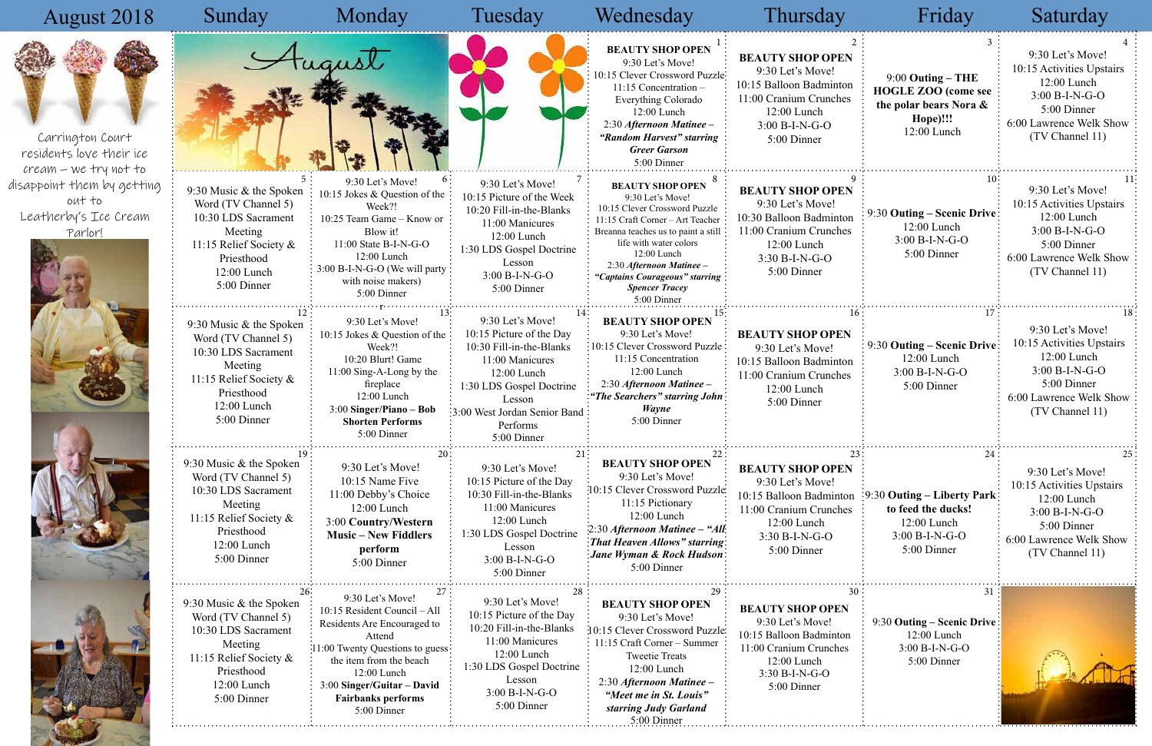## August 2018



| Sunday                                                                                                                                                  | Monday                                                                                                                                                                                                                                             | Tuesday                                                                                                                                                                                                       | Wednesday                                                                                                                                                                                                                                                                                              | Thursday                                                                                                                                               | Friday                                                                                                   | Saturday                                                                                                                                      |
|---------------------------------------------------------------------------------------------------------------------------------------------------------|----------------------------------------------------------------------------------------------------------------------------------------------------------------------------------------------------------------------------------------------------|---------------------------------------------------------------------------------------------------------------------------------------------------------------------------------------------------------------|--------------------------------------------------------------------------------------------------------------------------------------------------------------------------------------------------------------------------------------------------------------------------------------------------------|--------------------------------------------------------------------------------------------------------------------------------------------------------|----------------------------------------------------------------------------------------------------------|-----------------------------------------------------------------------------------------------------------------------------------------------|
|                                                                                                                                                         |                                                                                                                                                                                                                                                    |                                                                                                                                                                                                               | <b>BEAUTY SHOP OPEN</b><br>9:30 Let's Move!<br>10:15 Clever Crossword Puzzle:<br>$11:15$ Concentration –<br>Everything Colorado<br>12:00 Lunch<br>2:30 Afternoon Matinee -<br>"Random Harvest" starring<br><b>Greer Garson</b><br>5:00 Dinner                                                          | <b>BEAUTY SHOP OPEN</b><br>9:30 Let's Move!<br>10:15 Balloon Badminton<br>11:00 Cranium Crunches<br>12:00 Lunch<br>$3:00 B-I-N-G-O$<br>5:00 Dinner     | $9:00$ Outing – THE<br><b>HOGLE ZOO</b> (come see<br>the polar bears Nora &<br>Hope)!!!<br>12:00 Lunch   | 9:30 Let's Move!<br>10:15 Activities Upstairs<br>12:00 Lunch<br>3:00 B-I-N-G-O<br>5:00 Dinner<br>6:00 Lawrence Welk Show<br>(TV Channel 11)   |
| 9:30 Music & the Spoken<br>Word (TV Channel 5)<br>10:30 LDS Sacrament<br>Meeting<br>11:15 Relief Society &<br>Priesthood<br>12:00 Lunch<br>5:00 Dinner  | 6:<br>9:30 Let's Move!<br>10:15 Jokes & Question of the<br>Week?!<br>10:25 Team Game - Know or<br>Blow it!<br>$11:00$ State B-I-N-G-O<br>$12:00$ Lunch<br>3:00 B-I-N-G-O (We will party<br>with noise makers)<br>5:00 Dinner                       | 9:30 Let's Move!<br>10:15 Picture of the Week<br>10:20 Fill-in-the-Blanks<br>11:00 Manicures<br>$12:00$ Lunch<br>1:30 LDS Gospel Doctrine<br>Lesson<br>3:00 B-I-N-G-O<br>5:00 Dinner                          | <b>BEAUTY SHOP OPEN</b><br>9:30 Let's Move!<br>10:15 Clever Crossword Puzzle<br>11:15 Craft Corner - Art Teacher<br>Breanna teaches us to paint a still<br>life with water colors<br>12:00 Lunch<br>2:30 Afternoon Matinee -<br>"Captains Courageous" starring<br><b>Spencer Tracey</b><br>5:00 Dinner | <b>BEAUTY SHOP OPEN</b><br>9:30 Let's Move!<br>10:30 Balloon Badminton<br>11:00 Cranium Crunches<br>12:00 Lunch<br>$3:30 B-I-N-G-O$<br>5:00 Dinner     | 9:30 Outing – Scenic Drive:<br>12:00 Lunch<br>3:00 B-I-N-G-O<br>5:00 Dinner                              | 9:30 Let's Move!<br>10:15 Activities Upstairs<br>12:00 Lunch<br>$3:00 B-I-N-G-O$<br>5:00 Dinner<br>6:00 Lawrence Welk Show<br>(TV Channel 11) |
| 9:30 Music & the Spoken:<br>Word (TV Channel 5)<br>10:30 LDS Sacrament<br>Meeting<br>11:15 Relief Society &<br>Priesthood<br>12:00 Lunch<br>5:00 Dinner | 9:30 Let's Move!<br>10:15 Jokes & Question of the<br>Week?!<br>10:20 Blurt! Game<br>$11:00$ Sing-A-Long by the<br>fireplace<br>12:00 Lunch<br>3:00 Singer/Piano - Bob<br><b>Shorten Performs</b><br>5:00 Dinner                                    | 9:30 Let's Move!<br>10:15 Picture of the Day<br>10:30 Fill-in-the-Blanks<br>11:00 Manicures<br>12:00 Lunch<br>1:30 LDS Gospel Doctrine<br>Lesson<br>:3:00 West Jordan Senior Band:<br>Performs<br>5:00 Dinner | <b>BEAUTY SHOP OPEN</b><br>9:30 Let's Move!<br>:10:15 Clever Crossword Puzzle:<br>11:15 Concentration<br>12:00 Lunch<br>2:30 Afternoon Matinee -<br>"The Searchers" starring John<br><b>Wayne</b><br>5:00 Dinner                                                                                       | 16<br><b>BEAUTY SHOP OPEN</b><br>9:30 Let's Move!<br>10:15 Balloon Badminton<br>11:00 Cranium Crunches<br>12:00 Lunch<br>5:00 Dinner                   | 9:30 Outing – Scenic Drive<br>12:00 Lunch<br>$3:00 B-I-N-G-O$<br>5:00 Dinner                             | 9:30 Let's Move!<br>10:15 Activities Upstairs<br>12:00 Lunch<br>$3:00 B-I-N-G-O$<br>5:00 Dinner<br>6:00 Lawrence Welk Show<br>(TV Channel 11) |
| 9:30 Music & the Spoken<br>Word (TV Channel 5)<br>10:30 LDS Sacrament<br>Meeting<br>11:15 Relief Society &<br>Priesthood<br>12:00 Lunch<br>5:00 Dinner  | 20<br>9:30 Let's Move!<br>10:15 Name Five<br>11:00 Debby's Choice<br>$12:00$ Lunch<br>3:00 Country/Western<br><b>Music – New Fiddlers</b><br>perform<br>5:00 Dinner                                                                                | 9:30 Let's Move!<br>10:15 Picture of the Day<br>10:30 Fill-in-the-Blanks<br>11:00 Manicures<br>12:00 Lunch<br>1:30 LDS Gospel Doctrine<br>Lesson<br>$3:00 B-I-N-G-O$<br>5:00 Dinner                           | <b>BEAUTY SHOP OPEN</b><br>9:30 Let's Move!<br>:10:15 Clever Crossword Puzzle<br>11:15 Pictionary<br>12:00 Lunch<br>2:30 Afternoon Matinee - "All:<br>That Heaven Allows" starring:<br>:Jane Wyman & Rock Hudson:<br>5:00 Dinner                                                                       | <b>BEAUTY SHOP OPEN</b><br>9:30 Let's Move!<br>10:15 Balloon Badminton<br>11:00 Cranium Crunches<br>12:00 Lunch<br>3:30 B-I-N-G-O<br>5:00 Dinner       | 24<br>:9:30 Outing – Liberty Park:<br>to feed the ducks!<br>12:00 Lunch<br>3:00 B-I-N-G-O<br>5:00 Dinner | 9:30 Let's Move!<br>10:15 Activities Upstairs<br>12:00 Lunch<br>3:00 B-I-N-G-O<br>5:00 Dinner<br>6:00 Lawrence Welk Show<br>(TV Channel 11)   |
| 9:30 Music & the Spoken<br>Word (TV Channel 5)<br>10:30 LDS Sacrament<br>Meeting<br>11:15 Relief Society &<br>Priesthood<br>12:00 Lunch<br>5:00 Dinner  | 9:30 Let's Move!<br>10:15 Resident Council - All<br>Residents Are Encouraged to<br>Attend<br>:11:00 Twenty Questions to guess:<br>the item from the beach<br>12:00 Lunch<br>3:00 Singer/Guitar - David<br><b>Fairbanks performs</b><br>5:00 Dinner | 28<br>9:30 Let's Move!<br>10:15 Picture of the Day<br>10:20 Fill-in-the-Blanks<br>11:00 Manicures<br>12:00 Lunch<br>1:30 LDS Gospel Doctrine<br>Lesson<br>3:00 B-I-N-G-O<br>5:00 Dinner                       | <b>BEAUTY SHOP OPEN</b><br>9:30 Let's Move!<br>10:15 Clever Crossword Puzzle:<br>11:15 Craft Corner – Summer<br><b>Tweetie Treats</b><br>12:00 Lunch<br>2:30 Afternoon Matinee -<br>"Meet me in St. Louis"<br>starring Judy Garland<br>$5:00$ Dinner                                                   | 30<br><b>BEAUTY SHOP OPEN</b><br>9:30 Let's Move!<br>10:15 Balloon Badminton<br>11:00 Cranium Crunches<br>12:00 Lunch<br>3:30 B-I-N-G-O<br>5:00 Dinner | $3^{\circ}$<br>9:30 Outing – Scenic Drive<br>12:00 Lunch<br>3:00 B-I-N-G-O<br>5:00 Dinner                |                                                                                                                                               |

Carrington Court residents love their ice cream – we try not to disappoint them by getting out to Leatherby's Ice Cream <u>Parlor!</u>



|                      | Friday                                                                                                      | Saturday                                                                                                                                            |
|----------------------|-------------------------------------------------------------------------------------------------------------|-----------------------------------------------------------------------------------------------------------------------------------------------------|
| 2<br>'N<br>on<br>es  | 3<br>$9:00$ Outing – THE<br><b>HOGLE ZOO</b> (come see<br>the polar bears Nora &<br>Hope)!!!<br>12:00 Lunch | 4<br>9:30 Let's Move!<br>10:15 Activities Upstairs<br>12:00 Lunch<br>$3:00 B-I-N-G-O$<br>5:00 Dinner<br>6:00 Lawrence Welk Show<br>(TV Channel 11)  |
| ľN<br>on<br>es       | 10:<br>9:30 Outing – Scenic Drive<br>12:00 Lunch<br>$3:00 B-I-N-G-O$<br>5:00 Dinner                         | 11<br>9:30 Let's Move!<br>10:15 Activities Upstairs<br>12:00 Lunch<br>3:00 B-I-N-G-O<br>5:00 Dinner<br>6:00 Lawrence Welk Show<br>(TV Channel 11)   |
| 16<br>N<br>on<br>es  | 17<br>9:30 Outing – Scenic Drive<br>12:00 Lunch<br>3:00 B-I-N-G-O<br>5:00 Dinner                            | 18<br>9:30 Let's Move!<br>10:15 Activities Upstairs<br>12:00 Lunch<br>3:00 B-I-N-G-O<br>5:00 Dinner<br>6:00 Lawrence Welk Show<br>(TV Channel 11)   |
| 23<br>'N<br>on<br>es | 24<br>9:30 Outing – Liberty Park<br>to feed the ducks!<br>12:00 Lunch<br>$3:00 B-I-N-G-O$<br>5:00 Dinner    | 25<br>9:30 Let's Move!<br>10:15 Activities Upstairs<br>12:00 Lunch<br>$3:00 B-I-N-G-O$<br>5:00 Dinner<br>6:00 Lawrence Welk Show<br>(TV Channel 11) |
| 30<br>οn<br>S.       | 31<br>9:30 Outing – Scenic Drive<br>12:00 Lunch<br>3:00 B-I-N-G-O<br>5:00 Dinner                            |                                                                                                                                                     |